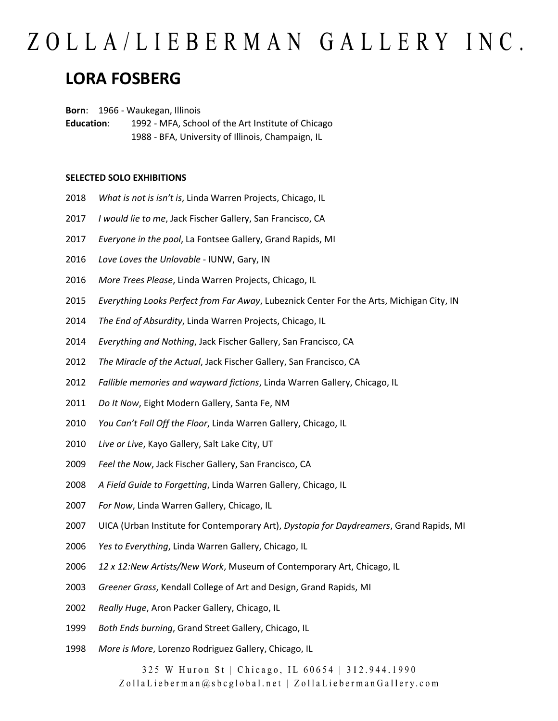### **LORA FOSBERG**

**Born**: 1966 - Waukegan, Illinois

**Education**: 1992 - MFA, School of the Art Institute of Chicago 1988 - BFA, University of Illinois, Champaign, IL

### **SELECTED SOLO EXHIBITIONS**

- *What is not is isn't is*, Linda Warren Projects, Chicago, IL
- *I would lie to me*, Jack Fischer Gallery, San Francisco, CA
- *Everyone in the pool*, La Fontsee Gallery, Grand Rapids, MI
- *Love Loves the Unlovable* IUNW, Gary, IN
- *More Trees Please*, Linda Warren Projects, Chicago, IL
- *Everything Looks Perfect from Far Away*, Lubeznick Center For the Arts, Michigan City, IN
- *The End of Absurdity*, Linda Warren Projects, Chicago, IL
- *Everything and Nothing*, Jack Fischer Gallery, San Francisco, CA
- *The Miracle of the Actual*, Jack Fischer Gallery, San Francisco, CA
- *Fallible memories and wayward fictions*, Linda Warren Gallery, Chicago, IL
- *Do It Now*, Eight Modern Gallery, Santa Fe, NM
- *You Can't Fall Off the Floor*, Linda Warren Gallery, Chicago, IL
- *Live or Live*, Kayo Gallery, Salt Lake City, UT
- *Feel the Now*, Jack Fischer Gallery, San Francisco, CA
- *A Field Guide to Forgetting*, Linda Warren Gallery, Chicago, IL
- *For Now*, Linda Warren Gallery, Chicago, IL
- UICA (Urban Institute for Contemporary Art), *Dystopia for Daydreamers*, Grand Rapids, MI
- *Yes to Everything*, Linda Warren Gallery, Chicago, IL
- *12 x 12:New Artists/New Work*, Museum of Contemporary Art, Chicago, IL
- *Greener Grass*, Kendall College of Art and Design, Grand Rapids, MI
- *Really Huge*, Aron Packer Gallery, Chicago, IL
- *Both Ends burning*, Grand Street Gallery, Chicago, IL
- *More is More*, Lorenzo Rodriguez Gallery, Chicago, IL

325 W Huron St | Chicago, IL 60654 | 312.944.1990 ZollaLieberman@sbcglobal.net | ZollaLiebermanGallery.com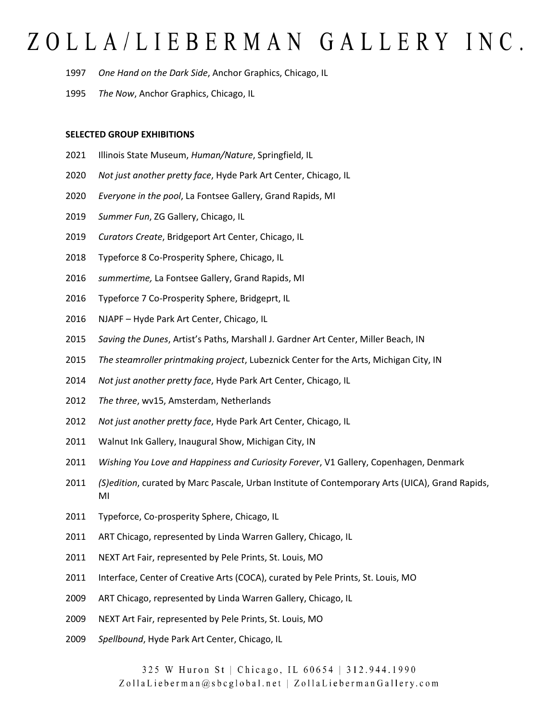- *One Hand on the Dark Side*, Anchor Graphics, Chicago, IL
- *The Now*, Anchor Graphics, Chicago, IL

### **SELECTED GROUP EXHIBITIONS**

- Illinois State Museum, *Human/Nature*, Springfield, IL
- *Not just another pretty face*, Hyde Park Art Center, Chicago, IL
- *Everyone in the pool*, La Fontsee Gallery, Grand Rapids, MI
- *Summer Fun*, ZG Gallery, Chicago, IL
- *Curators Create*, Bridgeport Art Center, Chicago, IL
- Typeforce 8 Co-Prosperity Sphere, Chicago, IL
- *summertime,* La Fontsee Gallery, Grand Rapids, MI
- Typeforce 7 Co-Prosperity Sphere, Bridgeprt, IL
- NJAPF Hyde Park Art Center, Chicago, IL
- *Saving the Dunes*, Artist's Paths, Marshall J. Gardner Art Center, Miller Beach, IN
- *The steamroller printmaking project*, Lubeznick Center for the Arts, Michigan City, IN
- *Not just another pretty face*, Hyde Park Art Center, Chicago, IL
- *The three*, wv15, Amsterdam, Netherlands
- *Not just another pretty face*, Hyde Park Art Center, Chicago, IL
- 2011 Walnut Ink Gallery, Inaugural Show, Michigan City, IN
- *Wishing You Love and Happiness and Curiosity Forever*, V1 Gallery, Copenhagen, Denmark
- *(S)edition*, curated by Marc Pascale, Urban Institute of Contemporary Arts (UICA), Grand Rapids, MI
- 2011 Typeforce, Co-prosperity Sphere, Chicago, IL
- 2011 ART Chicago, represented by Linda Warren Gallery, Chicago, IL
- NEXT Art Fair, represented by Pele Prints, St. Louis, MO
- Interface, Center of Creative Arts (COCA), curated by Pele Prints, St. Louis, MO
- ART Chicago, represented by Linda Warren Gallery, Chicago, IL
- NEXT Art Fair, represented by Pele Prints, St. Louis, MO
- *Spellbound*, Hyde Park Art Center, Chicago, IL

325 W Huron St | Chicago, IL 60654 | 312.944.1990 ZollaLieberman@sbcglobal.net | ZollaLiebermanGallery.com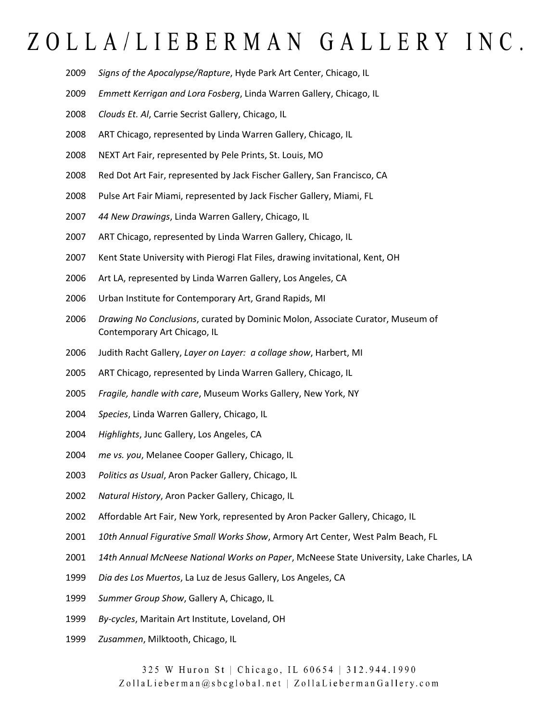- *Signs of the Apocalypse/Rapture*, Hyde Park Art Center, Chicago, IL
- *Emmett Kerrigan and Lora Fosberg*, Linda Warren Gallery, Chicago, IL
- *Clouds Et. Al*, Carrie Secrist Gallery, Chicago, IL
- ART Chicago, represented by Linda Warren Gallery, Chicago, IL
- NEXT Art Fair, represented by Pele Prints, St. Louis, MO
- Red Dot Art Fair, represented by Jack Fischer Gallery, San Francisco, CA
- Pulse Art Fair Miami, represented by Jack Fischer Gallery, Miami, FL
- *44 New Drawings*, Linda Warren Gallery, Chicago, IL
- ART Chicago, represented by Linda Warren Gallery, Chicago, IL
- Kent State University with Pierogi Flat Files, drawing invitational, Kent, OH
- Art LA, represented by Linda Warren Gallery, Los Angeles, CA
- Urban Institute for Contemporary Art, Grand Rapids, MI
- *Drawing No Conclusions*, curated by Dominic Molon, Associate Curator, Museum of Contemporary Art Chicago, IL
- Judith Racht Gallery, *Layer on Layer: a collage show*, Harbert, MI
- ART Chicago, represented by Linda Warren Gallery, Chicago, IL
- *Fragile, handle with care*, Museum Works Gallery, New York, NY
- *Species*, Linda Warren Gallery, Chicago, IL
- *Highlights*, Junc Gallery, Los Angeles, CA
- *me vs. you*, Melanee Cooper Gallery, Chicago, IL
- *Politics as Usual*, Aron Packer Gallery, Chicago, IL
- *Natural History*, Aron Packer Gallery, Chicago, IL
- Affordable Art Fair, New York, represented by Aron Packer Gallery, Chicago, IL
- *10th Annual Figurative Small Works Show*, Armory Art Center, West Palm Beach, FL
- *14th Annual McNeese National Works on Paper*, McNeese State University, Lake Charles, LA
- *Dia des Los Muertos*, La Luz de Jesus Gallery, Los Angeles, CA
- *Summer Group Show*, Gallery A, Chicago, IL
- *By-cycles*, Maritain Art Institute, Loveland, OH
- *Zusammen*, Milktooth, Chicago, IL

325 W Huron St | Chicago, IL 60654 | 312.944.1990 ZollaLieberman@sbcglobal.net | ZollaLiebermanGallery.com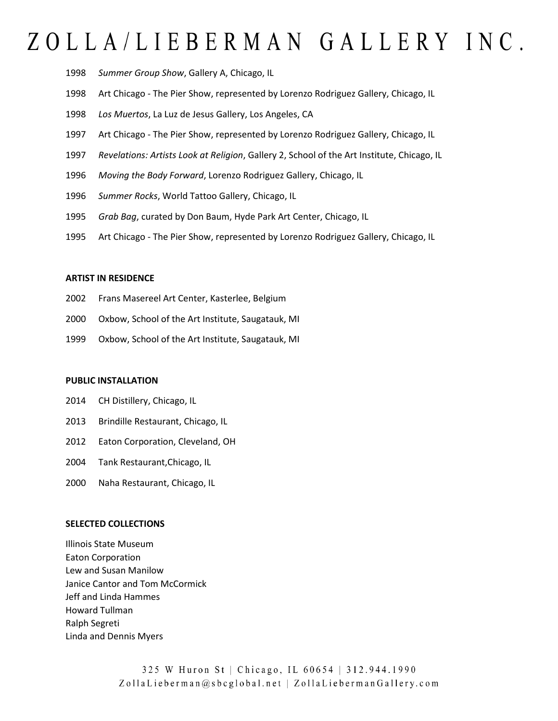- 1998 *Summer Group Show*, Gallery A, Chicago, IL
- 1998 Art Chicago The Pier Show, represented by Lorenzo Rodriguez Gallery, Chicago, IL
- 1998 *Los Muertos*, La Luz de Jesus Gallery, Los Angeles, CA
- 1997 Art Chicago The Pier Show, represented by Lorenzo Rodriguez Gallery, Chicago, IL
- 1997 *Revelations: Artists Look at Religion*, Gallery 2, School of the Art Institute, Chicago, IL
- 1996 *Moving the Body Forward*, Lorenzo Rodriguez Gallery, Chicago, IL
- 1996 *Summer Rocks*, World Tattoo Gallery, Chicago, IL
- 1995 *Grab Bag*, curated by Don Baum, Hyde Park Art Center, Chicago, IL
- 1995 Art Chicago The Pier Show, represented by Lorenzo Rodriguez Gallery, Chicago, IL

### **ARTIST IN RESIDENCE**

- 2002 Frans Masereel Art Center, Kasterlee, Belgium
- 2000 Oxbow, School of the Art Institute, Saugatauk, MI
- 1999 Oxbow, School of the Art Institute, Saugatauk, MI

### **PUBLIC INSTALLATION**

- 2014 CH Distillery, Chicago, IL
- 2013 Brindille Restaurant, Chicago, IL
- 2012 Eaton Corporation, Cleveland, OH
- 2004 Tank Restaurant,Chicago, IL
- 2000 Naha Restaurant, Chicago, IL

#### **SELECTED COLLECTIONS**

Illinois State Museum Eaton Corporation Lew and Susan Manilow Janice Cantor and Tom McCormick Jeff and Linda Hammes Howard Tullman Ralph Segreti Linda and Dennis Myers